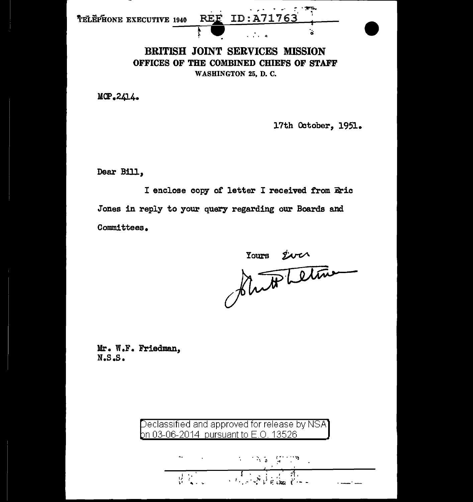| telëphone executive 1940 | and the contract of the contract of the contract of the contract of the contract of the contract of the contract of the contract of the contract of the contract of the contract of the contract of the contract of the contra<br>REE ID:A71763 |  |
|--------------------------|-------------------------------------------------------------------------------------------------------------------------------------------------------------------------------------------------------------------------------------------------|--|
|                          |                                                                                                                                                                                                                                                 |  |

BRITISH JOINT SERVICES MISSION OFFICES OF THE COMBINED CHIEFS OF STAFF WASHINGTON 25, D. C.

MOP.2414.

17th October, 1951.

Dear Bill,

I enclose copy of letter I received from Eric Jones in reply to your query regarding our Boards and Committees.

rours siver

Mr. W.F. Friedman,  $N.S.S.$ 

Declassified and approved for release by NSA<br>on 03-06-2014 pursuant to E.O. 13526